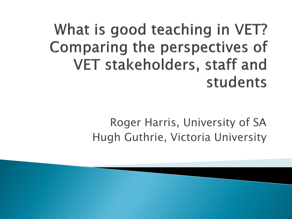What is good teaching in VET? **Comparing the perspectives of** VET stakeholders, staff and students

> Roger Harris, University of SA Hugh Guthrie, Victoria University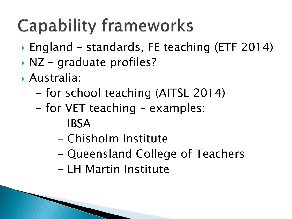## **Capability frameworks**

- ▶ England standards, FE teaching (ETF 2014)
- ▶ NZ graduate profiles?
- Australia:
	- for school teaching (AITSL 2014)
	- for VET teaching examples:
		- $-$  IBSA
		- Chisholm Institute
		- Queensland College of Teachers
		- LH Martin Institute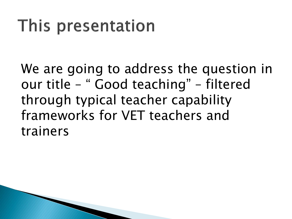### This presentation

We are going to address the question in our title – " Good teaching" – filtered through typical teacher capability frameworks for VET teachers and trainers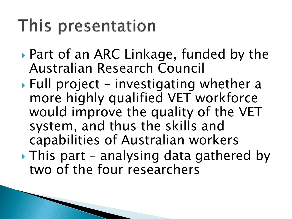### This presentation

- ▶ Part of an ARC Linkage, funded by the Australian Research Council
- $\blacktriangleright$  Full project investigating whether a more highly qualified VET workforce would improve the quality of the VET system, and thus the skills and capabilities of Australian workers  $\blacktriangleright$  This part – analysing data gathered by
- two of the four researchers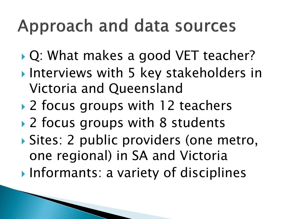### Approach and data sources

- ▶ Q: What makes a good VET teacher?
- **Interviews with 5 key stakeholders in** Victoria and Queensland
- ▶ 2 focus groups with 12 teachers
- ▶ 2 focus groups with 8 students
- Sites: 2 public providers (one metro, one regional) in SA and Victoria
- Informants: a variety of disciplines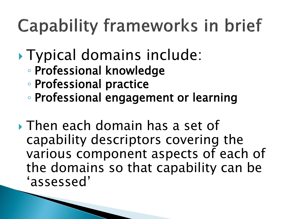# Capability frameworks in brief

- Typical domains include:
	- Professional knowledge
	- Professional practice
	- Professional engagement or learning
- Then each domain has a set of capability descriptors covering the various component aspects of each of the domains so that capability can be 'assessed'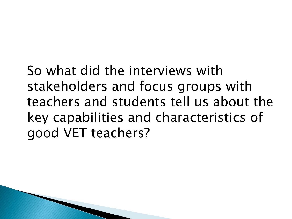So what did the interviews with stakeholders and focus groups with teachers and students tell us about the key capabilities and characteristics of good VET teachers?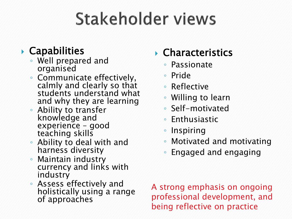# Stakeholder views

#### Capabilities

- Well prepared and organised
- Communicate effectively, calmly and clearly so that students understand what and why they are learning
- Ability to transfer knowledge and experience – good teaching skills
- Ability to deal with and harness diversity
- Maintain industry currency and links with industry
- Assess effectively and holistically using a range of approaches

#### Characteristics

- Passionate
- Pride
- Reflective
- Willing to learn
- Self-motivated
- Enthusiastic
- Inspiring
- Motivated and motivating
- Engaged and engaging

A strong emphasis on ongoing professional development, and being reflective on practice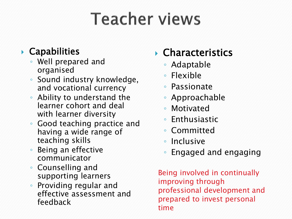## **Teacher views**

#### Capabilities

- Well prepared and organised
- Sound industry knowledge, and vocational currency
- Ability to understand the learner cohort and deal with learner diversity
- Good teaching practice and having a wide range of teaching skills
- Being an effective communicator
- Counselling and supporting learners
- Providing regular and effective assessment and feedback

#### Characteristics

- Adaptable
- Flexible
- Passionate
- Approachable
- Motivated
- Enthusiastic
- Committed
- Inclusive
- Engaged and engaging

Being involved in continually improving through professional development and prepared to invest personal time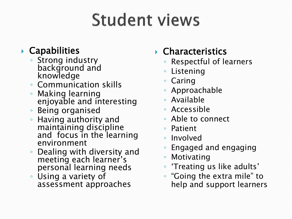# **Student views**

#### Capabilities

- Strong industry background and knowledge
- Communication skills
- Making learning enjoyable and interesting
- Being organised
- Having authority and maintaining discipline and focus in the learning environment
- Dealing with diversity and meeting each learner's personal learning needs
- Using a variety of assessment approaches

#### Characteristics

- Respectful of learners
- Listening
- Caring
- Approachable
- Available
- Accessible
- Able to connect
- Patient
- Involved
- Engaged and engaging
- Motivating
- 'Treating us like adults'
- "Going the extra mile" to help and support learners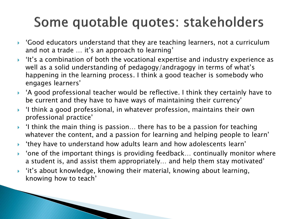### Some quotable quotes: stakeholders

- $\blacktriangleright$  'Good educators understand that they are teaching learners, not a curriculum and not a trade … it's an approach to learning'
- 'It's a combination of both the vocational expertise and industry experience as well as a solid understanding of pedagogy/andragogy in terms of what's happening in the learning process. I think a good teacher is somebody who engages learners'
- $\blacktriangleright$  'A good professional teacher would be reflective. I think they certainly have to be current and they have to have ways of maintaining their currency'
- $\blacktriangleright$  'I think a good professional, in whatever profession, maintains their own professional practice'
- $\rightarrow$  'I think the main thing is passion... there has to be a passion for teaching whatever the content, and a passion for learning and helping people to learn'
- 'they have to understand how adults learn and how adolescents learn'
- $\blacktriangleright$  'one of the important things is providing feedback... continually monitor where a student is, and assist them appropriately… and help them stay motivated'
- $\rightarrow$  'it's about knowledge, knowing their material, knowing about learning, knowing how to teach'

**The Common Street, Inc.**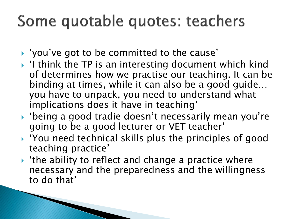### Some quotable quotes: teachers

'you've got to be committed to the cause'

**The Common Seconds** 

- $\blacktriangleright$  'I think the TP is an interesting document which kind of determines how we practise our teaching. It can be binding at times, while it can also be a good guide… you have to unpack, you need to understand what implications does it have in teaching'
- 'being a good tradie doesn't necessarily mean you're going to be a good lecturer or VET teacher'
- $\rightarrow$  'You need technical skills plus the principles of good teaching practice'
- $\rightarrow$  'the ability to reflect and change a practice where necessary and the preparedness and the willingness to do that'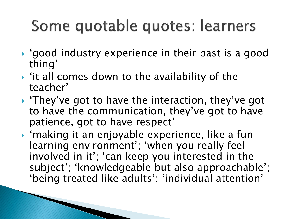### Some quotable quotes: learners

- 'good industry experience in their past is a good thing'
- $\triangleright$  'it all comes down to the availability of the teacher'
- ▶ 'They've got to have the interaction, they've got to have the communication, they've got to have patience, got to have respect'
- 'making it an enjoyable experience, like a fun learning environment'; 'when you really feel involved in it'; 'can keep you interested in the subject'; 'knowledgeable but also approachable'; 'being treated like adults'; 'individual attention'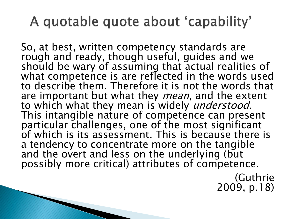### A quotable quote about 'capability'

So, at best, written competency standards are rough and ready, though useful, guides and we should be wary of assuming that actual realities of what competence is are reflected in the words used to describe them. Therefore it is not the words that are important but what they *mean*, and the extent to which what they mean is widely *understood*. This intangible nature of competence can present particular challenges, one of the most significant of which is its assessment. This is because there is a tendency to concentrate more on the tangible and the overt and less on the underlying (but possibly more critical) attributes of competence.

> (Guthrie 2009, p.18)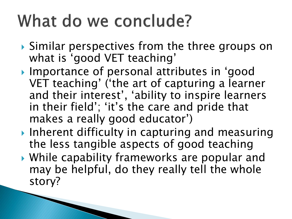## What do we conclude?

- ▶ Similar perspectives from the three groups on what is 'good VET teaching'
- ▶ Importance of personal attributes in 'good VET teaching' ('the art of capturing a learner and their interest', 'ability to inspire learners in their field'; 'it's the care and pride that makes a really good educator')
- ▶ Inherent difficulty in capturing and measuring the less tangible aspects of good teaching
- While capability frameworks are popular and may be helpful, do they really tell the whole story?